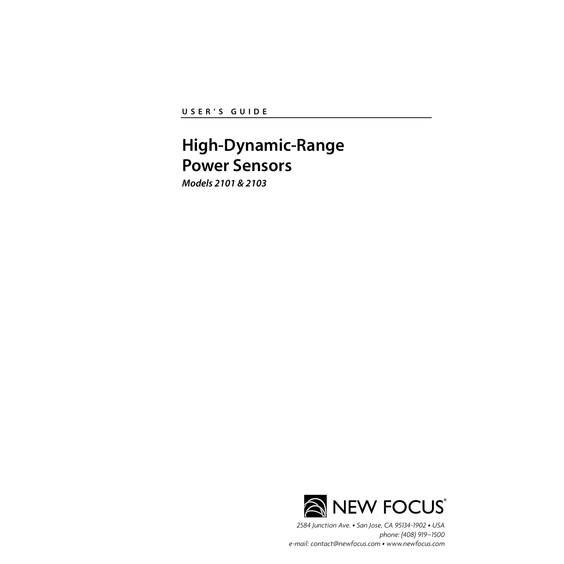**USER'S GUIDE**

# **High-Dynamic-Range Power Sensors**

<span id="page-0-0"></span>*Models 2101 & 2103*



*2584 Junction Ave. • San Jose, CA 95134-1902 • USA phone: (408) 919–1500 e-mail: contact@newfocus.com • www.newfocus.com*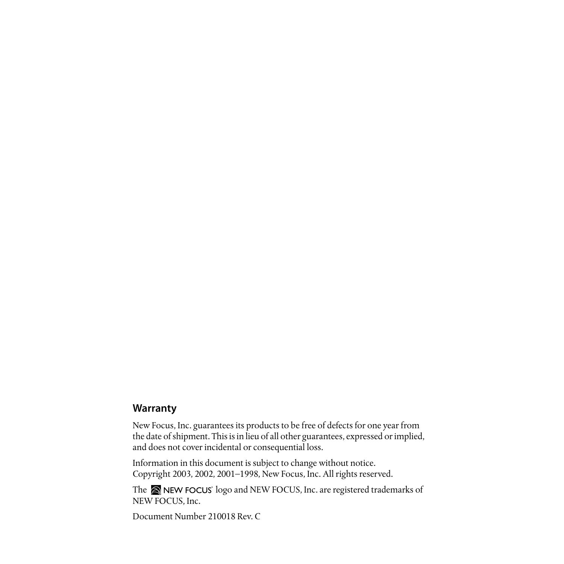#### **Warranty**

New Focus, Inc. guarantees its products to be free of defects for one year from the date of shipment. This is in lieu of all other guarantees, expressed or implied, and does not cover incidental or consequential loss.

Information in this document is subject to change without notice. Copyright 2003, 2002, 2001–1998, New Focus, Inc. All rights reserved.

The **IMER FOCUS** logo and NEW FOCUS, Inc. are registered trademarks of NEW FOCUS, Inc.

Document Number 210018 Rev. C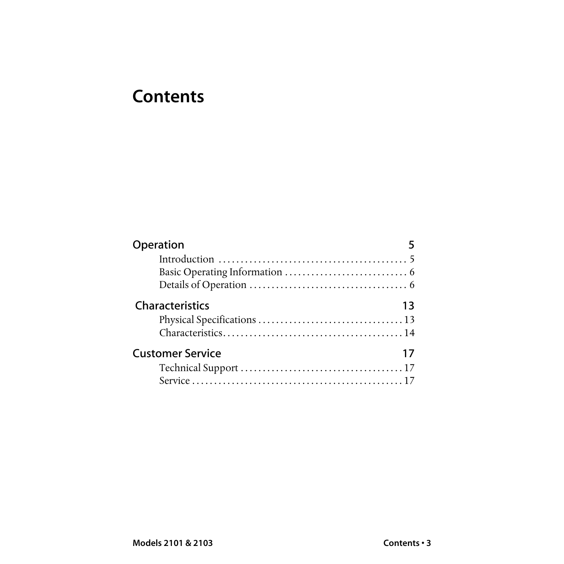# **Contents**

| Operation               | 5  |  |
|-------------------------|----|--|
|                         |    |  |
|                         |    |  |
|                         |    |  |
| <b>Characteristics</b>  | 13 |  |
|                         |    |  |
|                         |    |  |
| <b>Customer Service</b> | 17 |  |
|                         |    |  |
|                         |    |  |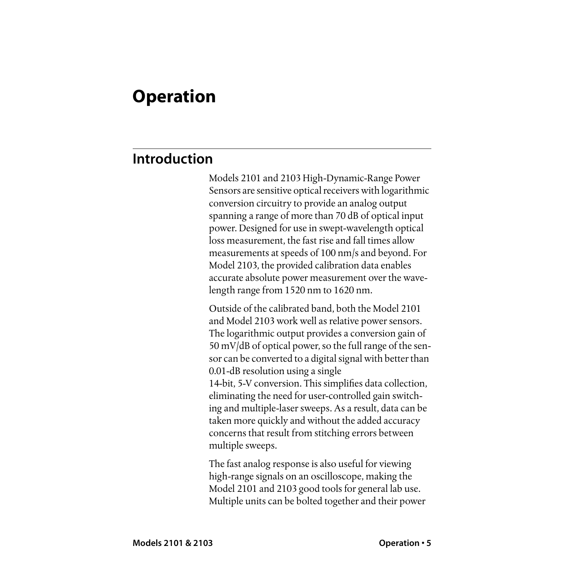# <span id="page-4-0"></span>**Operation**

## <span id="page-4-1"></span>**Introduction**

Models 2101 and 2103 High-Dynamic-Range Power Sensors are sensitive optical receivers with logarithmic conversion circuitry to provide an analog output spanning a range of more than 70 dB of optical input power. Designed for use in swept-wavelength optical loss measurement, the fast rise and fall times allow measurements at speeds of 100 nm/s and beyond. For Model 2103, the provided calibration data enables accurate absolute power measurement over the wavelength range from 1520 nm to 1620 nm.

Outside of the calibrated band, both the Model 2101 and Model 2103 work well as relative power sensors. The logarithmic output provides a conversion gain of 50 mV/dB of optical power, so the full range of the sensor can be converted to a digital signal with better than 0.01-dB resolution using a single 14-bit, 5-V conversion. This simplifies data collection,

eliminating the need for user-controlled gain switching and multiple-laser sweeps. As a result, data can be taken more quickly and without the added accuracy concerns that result from stitching errors between multiple sweeps.

The fast analog response is also useful for viewing high-range signals on an oscilloscope, making the Model 2101 and 2103 good tools for general lab use. Multiple units can be bolted together and their power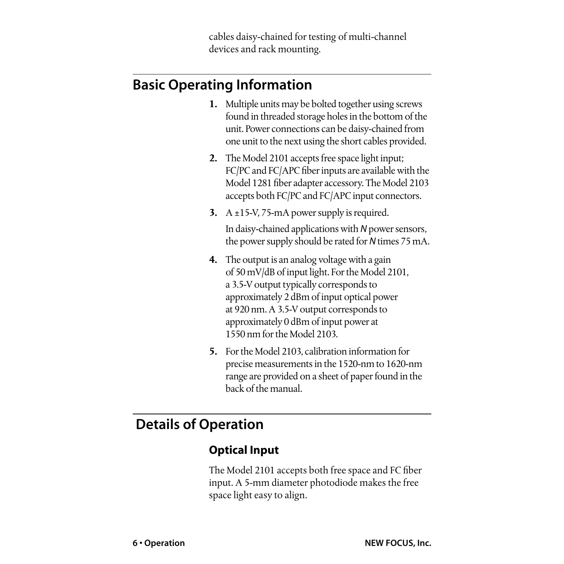cables daisy-chained for testing of multi-channel devices and rack mounting.

## <span id="page-5-0"></span>**Basic Operating Information**

- **1.** Multiple units may be bolted together using screws found in threaded storage holes in the bottom of the unit. Power connections can be daisy-chained from one unit to the next using the short cables provided.
- **2.** The Model 2101 accepts free space light input; FC/PC and FC/APC fiber inputs are available with the Model 1281 fiber adapter accessory. The Model 2103 accepts both FC/PC and FC/APC input connectors.
- **3.** A ±15-V, 75-mA power supply is required.

In daisy-chained applications with *N* power sensors, the power supply should be rated for *N* times 75 mA.

- **4.** The output is an analog voltage with a gain of 50 mV/dB of input light. For the Model 2101, a 3.5-V output typically corresponds to approximately 2 dBm of input optical power at 920 nm. A 3.5-V output corresponds to approximately 0 dBm of input power at 1550 nm for the Model 2103.
- **5.** For the Model 2103, calibration information for precise measurements in the 1520-nm to 1620-nm range are provided on a sheet of paper found in the back of the manual.

## <span id="page-5-1"></span> **Details of Operation**

### **Optical Input**

The Model 2101 accepts both free space and FC fiber input. A 5-mm diameter photodiode makes the free space light easy to align.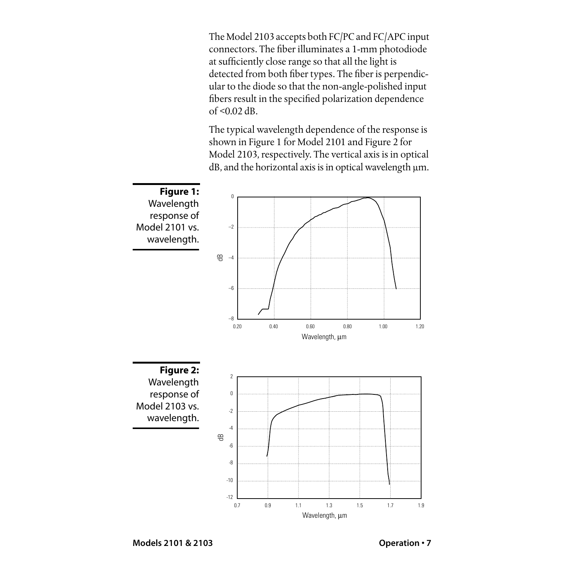The Model 2103 accepts both FC/PC and FC/APC input connectors. The fiber illuminates a 1-mm photodiode at sufficiently close range so that all the light is detected from both fiber types. The fiber is perpendicular to the diode so that the non-angle-polished input fibers result in the specified polarization dependence of <0.02 dB.

The typical wavelength dependence of the response is shown in [Figure 1](#page-6-0) for Model 2101 and [Figure 2](#page-6-1) for Model 2103, respectively. The vertical axis is in optical dB, and the horizontal axis is in optical wavelength µm.

<span id="page-6-1"></span><span id="page-6-0"></span>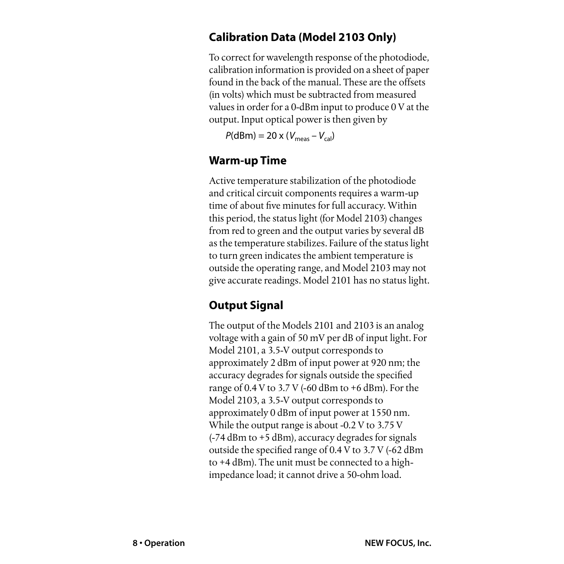### **Calibration Data (Model 2103 Only)**

To correct for wavelength response of the photodiode, calibration information is provided on a sheet of paper found in the back of the manual. These are the offsets (in volts) which must be subtracted from measured values in order for a 0-dBm input to produce 0 V at the output. Input optical power is then given by

 $P(dBm) = 20 \times (V_{meas} - V_{cal})$ 

#### **Warm-up Time**

Active temperature stabilization of the photodiode and critical circuit components requires a warm-up time of about five minutes for full accuracy. Within this period, the status light (for Model 2103) changes from red to green and the output varies by several dB as the temperature stabilizes. Failure of the status light to turn green indicates the ambient temperature is outside the operating range, and Model 2103 may not give accurate readings. Model 2101 has no status light.

### **Output Signal**

The output of the Models 2101 and 2103 is an analog voltage with a gain of 50 mV per dB of input light. For Model 2101, a 3.5-V output corresponds to approximately 2 dBm of input power at 920 nm; the accuracy degrades for signals outside the specified range of 0.4 V to 3.7 V (-60 dBm to +6 dBm). For the Model 2103, a 3.5-V output corresponds to approximately 0 dBm of input power at 1550 nm. While the output range is about -0.2 V to 3.75 V (-74 dBm to +5 dBm), accuracy degrades for signals outside the specified range of 0.4 V to 3.7 V (-62 dBm to +4 dBm). The unit must be connected to a highimpedance load; it cannot drive a 50-ohm load.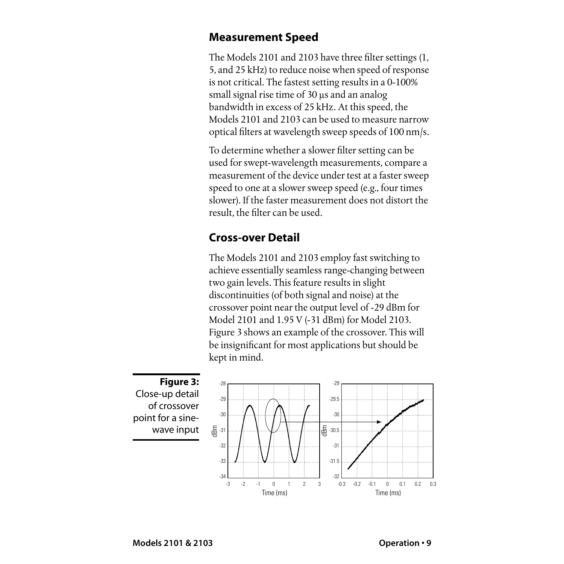#### **Measurement Speed**

The Models 2101 and 2103 have three filter settings (1, 5, and 25 kHz) to reduce noise when speed of response is not critical. The fastest setting results in a 0-100% small signal rise time of 30 us and an analog bandwidth in excess of 25 kHz. At this speed, the Models 2101 and 2103 can be used to measure narrow optical filters at wavelength sweep speeds of 100 nm/s.

To determine whether a slower filter setting can be used for swept-wavelength measurements, compare a measurement of the device under test at a faster sweep speed to one at a slower sweep speed (e.g., four times slower). If the faster measurement does not distort the result, the filter can be used.

#### **Cross-over Detail**

The Models 2101 and 2103 employ fast switching to achieve essentially seamless range-changing between two gain levels. This feature results in slight discontinuities (of both signal and noise) at the crossover point near the output level of -29 dBm for Model 2101 and 1.95 V (-31 dBm) for Model 2103. [Figure 3](#page-8-0) shows an example of the crossover. This will be insignificant for most applications but should be kept in mind.

<span id="page-8-0"></span>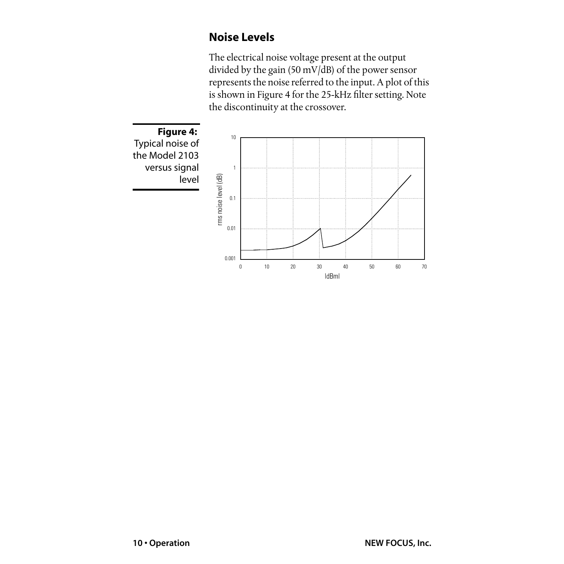### **Noise Levels**

The electrical noise voltage present at the output divided by the gain (50 mV/dB) of the power sensor represents the noise referred to the input. A plot of this is shown in [Figure 4](#page-9-0) for the 25-kHz filter setting. Note the discontinuity at the crossover.

<span id="page-9-0"></span>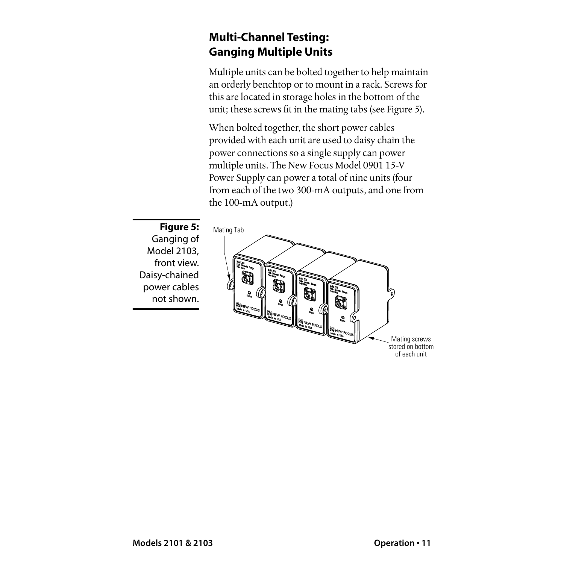### **Multi-Channel Testing: Ganging Multiple Units**

Multiple units can be bolted together to help maintain an orderly benchtop or to mount in a rack. Screws for this are located in storage holes in the bottom of the unit; these screws fit in the mating tabs (see [Figure 5\)](#page-10-0).

When bolted together, the short power cables provided with each unit are used to daisy chain the power connections so a single supply can power multiple units. The New Focus Model 0901 15-V Power Supply can power a total of nine units (four from each of the two 300-mA outputs, and one from the 100-mA output.)

<span id="page-10-0"></span>**Figure 5:** Ganging of Model 2103, front view. Daisy-chained power cables not shown.

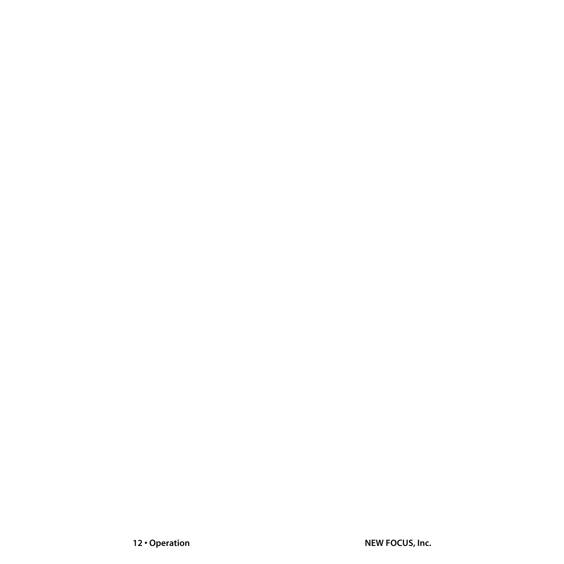**12 • Operation Contracts Contracts Access Access Access Access Access Access Access Access Access Access Access**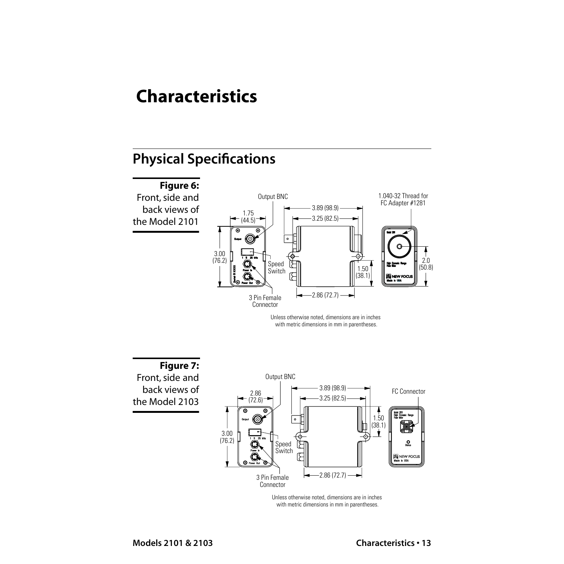# <span id="page-12-0"></span> **Characteristics**

# <span id="page-12-1"></span>**Physical Specifications**

**Figure 6:** Front, side and back views of the Model 2101



Unless otherwise noted, dimensions are in inches with metric dimensions in mm in parentheses.

**Figure 7:** Front, side and back views of the Model 2103



Unless otherwise noted, dimensions are in inches with metric dimensions in mm in parentheses.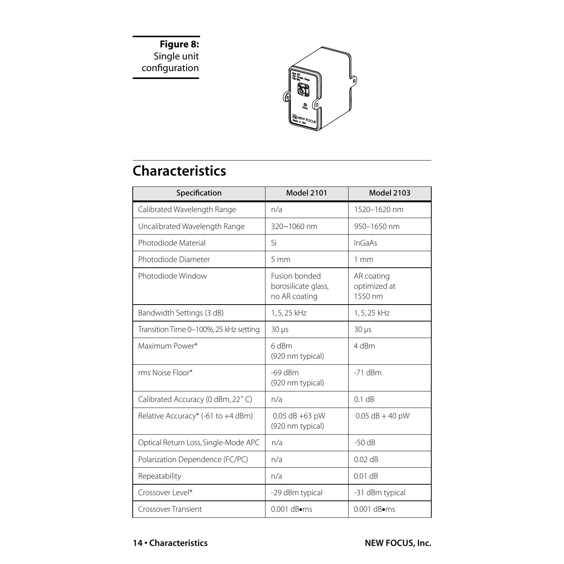**Figure 8:** Single unit configuration



# <span id="page-13-0"></span>**Characteristics**

| Specification                          | <b>Model 2101</b>                                     | <b>Model 2103</b>                     |
|----------------------------------------|-------------------------------------------------------|---------------------------------------|
| Calibrated Wavelength Range            | n/a                                                   | 1520-1620 nm                          |
| Uncalibrated Wavelength Range          | $320 - 1060$ nm                                       | 950-1650 nm                           |
| Photodiode Material                    | Si                                                    | InGaAs                                |
| Photodiode Diameter                    | 5 <sub>mm</sub>                                       | 1mm                                   |
| Photodiode Window                      | Fusion bonded<br>borosilicate glass,<br>no AR coating | AR coating<br>optimized at<br>1550 nm |
| Bandwidth Settings (3 dB)              | 1, 5, 25 kHz                                          | 1, 5, 25 kHz                          |
| Transition Time 0-100%, 25 kHz setting | $30 \mu s$                                            | $30 \mu s$                            |
| Maximum Power*                         | 6 dBm<br>(920 nm typical)                             | 4 dBm                                 |
| rms Noise Floor*                       | $-69$ dBm<br>(920 nm typical)                         | $-71$ dBm                             |
| Calibrated Accuracy (0 dBm, 22°C)      | n/a                                                   | 0.1 dB                                |
| Relative Accuracy* (-61 to $+4$ dBm)   | $0.05$ dB +63 pW<br>(920 nm typical)                  | $0.05 dB + 40 pW$                     |
| Optical Return Loss, Single-Mode APC   | n/a                                                   | $-50$ dB                              |
| Polarization Dependence (FC/PC)        | n/a                                                   | $0.02$ dB                             |
| Repeatability                          | n/a                                                   | $0.01$ dB                             |
| Crossover Level*                       | -29 dBm typical                                       | -31 dBm typical                       |
| Crossover Transient                    | $0.001$ dBoms                                         | $0.001$ dBoms                         |

#### 14 **• Characteristics** NEW FOCUS, Inc.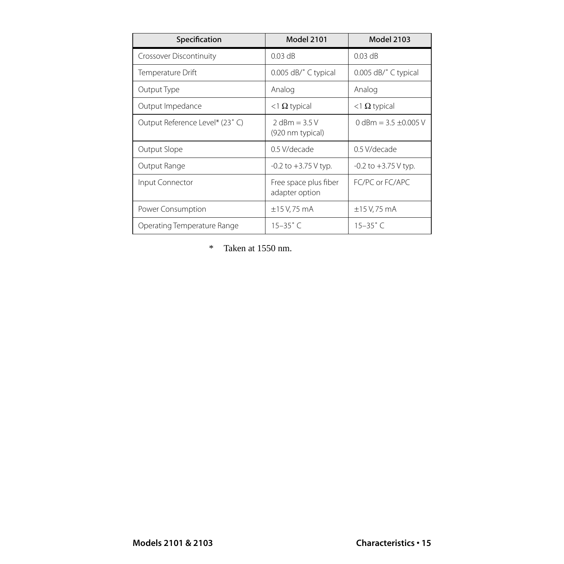| Specification                  | Model 2101                              | <b>Model 2103</b>                       |
|--------------------------------|-----------------------------------------|-----------------------------------------|
| Crossover Discontinuity        | $0.03$ dB                               | $0.03$ dB                               |
| Temperature Drift              | $0.005$ dB/ $^{\circ}$ C typical        | 0.005 dB/° C typical                    |
| Output Type                    | Analog                                  | Analog                                  |
| Output Impedance               | $<$ 1 $\Omega$ typical                  | $<$ 1 $\Omega$ typical                  |
| Output Reference Level* (23°C) | 2 dBm = $3.5$ V<br>(920 nm typical)     | $0 \text{ dBm} = 3.5 + 0.005 \text{ V}$ |
| Output Slope                   | 0.5 V/decade                            | 0.5 V/decade                            |
| Output Range                   | $-0.2$ to $+3.75$ V typ.                | $-0.2$ to $+3.75$ V typ.                |
| Input Connector                | Free space plus fiber<br>adapter option | FC/PC or FC/APC                         |
| Power Consumption              | $\pm$ 15 V, 75 mA                       | $±15$ V, 75 mA                          |
| Operating Temperature Range    | $15 - 35$ °C                            | $15 - 35$ ° C                           |

\* Taken at 1550 nm.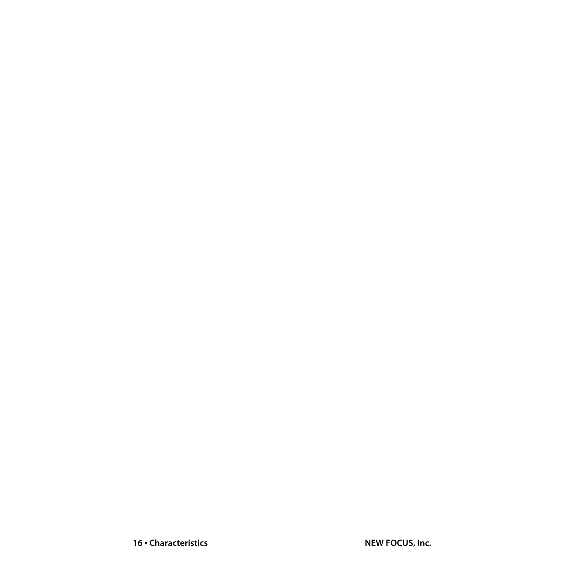**• Characteristics** NEW FOCUS, Inc.